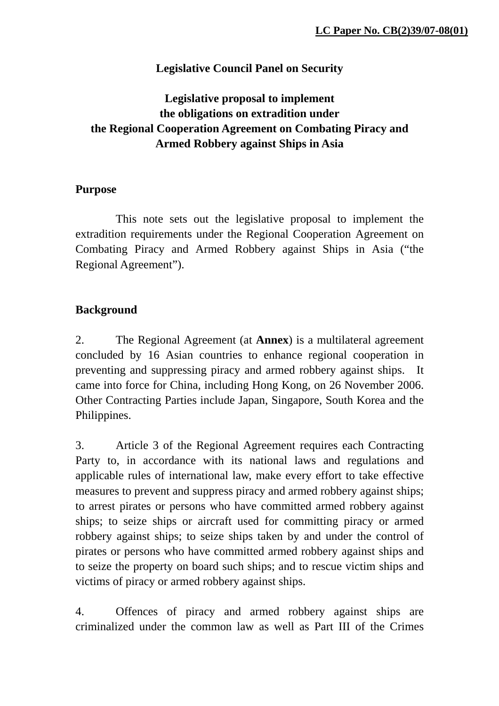# **Legislative Council Panel on Security**

# **Legislative proposal to implement the obligations on extradition under the Regional Cooperation Agreement on Combating Piracy and Armed Robbery against Ships in Asia**

# **Purpose**

 This note sets out the legislative proposal to implement the extradition requirements under the Regional Cooperation Agreement on Combating Piracy and Armed Robbery against Ships in Asia ("the Regional Agreement").

# **Background**

2. The Regional Agreement (at **Annex**) is a multilateral agreement concluded by 16 Asian countries to enhance regional cooperation in preventing and suppressing piracy and armed robbery against ships. It came into force for China, including Hong Kong, on 26 November 2006. Other Contracting Parties include Japan, Singapore, South Korea and the Philippines.

3. Article 3 of the Regional Agreement requires each Contracting Party to, in accordance with its national laws and regulations and applicable rules of international law, make every effort to take effective measures to prevent and suppress piracy and armed robbery against ships; to arrest pirates or persons who have committed armed robbery against ships; to seize ships or aircraft used for committing piracy or armed robbery against ships; to seize ships taken by and under the control of pirates or persons who have committed armed robbery against ships and to seize the property on board such ships; and to rescue victim ships and victims of piracy or armed robbery against ships.

4. Offences of piracy and armed robbery against ships are criminalized under the common law as well as Part III of the Crimes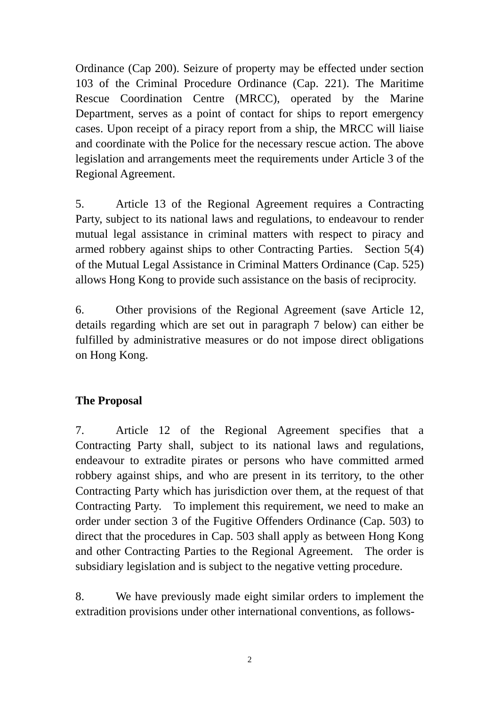Ordinance (Cap 200). Seizure of property may be effected under section 103 of the Criminal Procedure Ordinance (Cap. 221). The Maritime Rescue Coordination Centre (MRCC), operated by the Marine Department, serves as a point of contact for ships to report emergency cases. Upon receipt of a piracy report from a ship, the MRCC will liaise and coordinate with the Police for the necessary rescue action. The above legislation and arrangements meet the requirements under Article 3 of the Regional Agreement.

5. Article 13 of the Regional Agreement requires a Contracting Party, subject to its national laws and regulations, to endeavour to render mutual legal assistance in criminal matters with respect to piracy and armed robbery against ships to other Contracting Parties. Section 5(4) of the Mutual Legal Assistance in Criminal Matters Ordinance (Cap. 525) allows Hong Kong to provide such assistance on the basis of reciprocity.

6. Other provisions of the Regional Agreement (save Article 12, details regarding which are set out in paragraph 7 below) can either be fulfilled by administrative measures or do not impose direct obligations on Hong Kong.

# **The Proposal**

7. Article 12 of the Regional Agreement specifies that a Contracting Party shall, subject to its national laws and regulations, endeavour to extradite pirates or persons who have committed armed robbery against ships, and who are present in its territory, to the other Contracting Party which has jurisdiction over them, at the request of that Contracting Party. To implement this requirement, we need to make an order under section 3 of the Fugitive Offenders Ordinance (Cap. 503) to direct that the procedures in Cap. 503 shall apply as between Hong Kong and other Contracting Parties to the Regional Agreement. The order is subsidiary legislation and is subject to the negative vetting procedure.

8. We have previously made eight similar orders to implement the extradition provisions under other international conventions, as follows-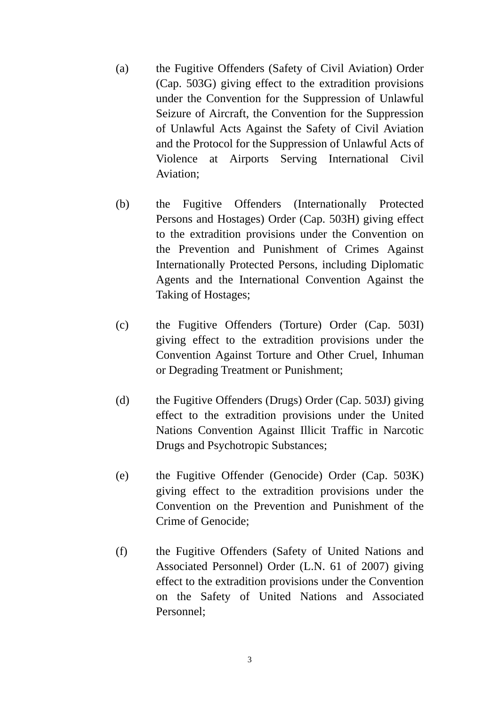- (a) the Fugitive Offenders (Safety of Civil Aviation) Order (Cap. 503G) giving effect to the extradition provisions under the Convention for the Suppression of Unlawful Seizure of Aircraft, the Convention for the Suppression of Unlawful Acts Against the Safety of Civil Aviation and the Protocol for the Suppression of Unlawful Acts of Violence at Airports Serving International Civil Aviation;
- (b) the Fugitive Offenders (Internationally Protected Persons and Hostages) Order (Cap. 503H) giving effect to the extradition provisions under the Convention on the Prevention and Punishment of Crimes Against Internationally Protected Persons, including Diplomatic Agents and the International Convention Against the Taking of Hostages;
- (c) the Fugitive Offenders (Torture) Order (Cap. 503I) giving effect to the extradition provisions under the Convention Against Torture and Other Cruel, Inhuman or Degrading Treatment or Punishment;
- (d) the Fugitive Offenders (Drugs) Order (Cap. 503J) giving effect to the extradition provisions under the United Nations Convention Against Illicit Traffic in Narcotic Drugs and Psychotropic Substances;
- (e) the Fugitive Offender (Genocide) Order (Cap. 503K) giving effect to the extradition provisions under the Convention on the Prevention and Punishment of the Crime of Genocide;
- (f) the Fugitive Offenders (Safety of United Nations and Associated Personnel) Order (L.N. 61 of 2007) giving effect to the extradition provisions under the Convention on the Safety of United Nations and Associated Personnel;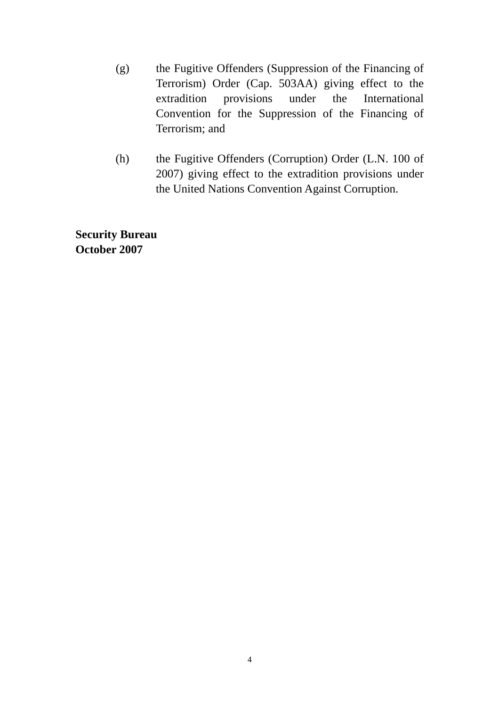- (g) the Fugitive Offenders (Suppression of the Financing of Terrorism) Order (Cap. 503AA) giving effect to the extradition provisions under the International Convention for the Suppression of the Financing of Terrorism; and
- (h) the Fugitive Offenders (Corruption) Order (L.N. 100 of 2007) giving effect to the extradition provisions under the United Nations Convention Against Corruption.

**Security Bureau October 2007**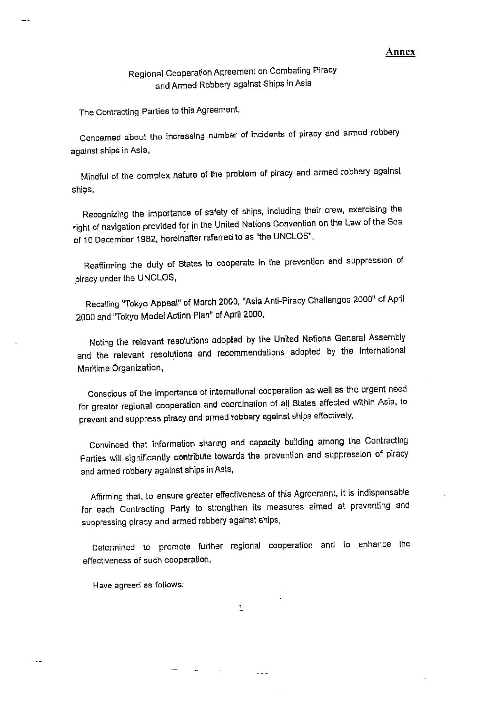#### Annex

Regional Cooperation Agreement on Combating Piracy and Armed Robbery against Ships in Asia

The Contracting Parties to this Agreement,

Concerned about the increasing number of incidents of piracy and armed robbery against ships in Asia,

Mindful of the complex nature of the problem of piracy and armed robbery against ships,

Recognizing the importance of safety of ships, including their crew, exercising the right of navigation provided for in the United Nations Convention on the Law of the Sea of 10 December 1982, hereinafter referred to as "the UNCLOS",

Reaffirming the duty of States to cooperate in the prevention and suppression of piracy under the UNCLOS,

Recalling "Tokyo Appeal" of March 2000, "Asia Anti-Piracy Challenges 2000" of April 2000 and "Tokyo Model Action Plan" of April 2000,

Noting the relevant resolutions adopted by the United Nations General Assembly and the relevant resolutions and recommendations adopted by the International Maritime Organization,

Conscious of the importance of international cooperation as well as the urgent need for greater regional cooperation and coordination of all States affected within Asia, to prevent and suppress piracy and armed robbery against ships effectively,

Convinced that information sharing and capacity building among the Contracting Parties will significantly contribute towards the prevention and suppression of piracy and armed robbery against ships in Asia,

Affirming that, to ensure greater effectiveness of this Agreement, it is indispensable for each Contracting Party to strengthen its measures aimed at preventing and suppressing piracy and armed robbery against ships,

Determined to promote further regional cooperation and to enhance the effectiveness of such cooperation,

Have agreed as follows:

 $\mathbf{1}$ 

 $- -$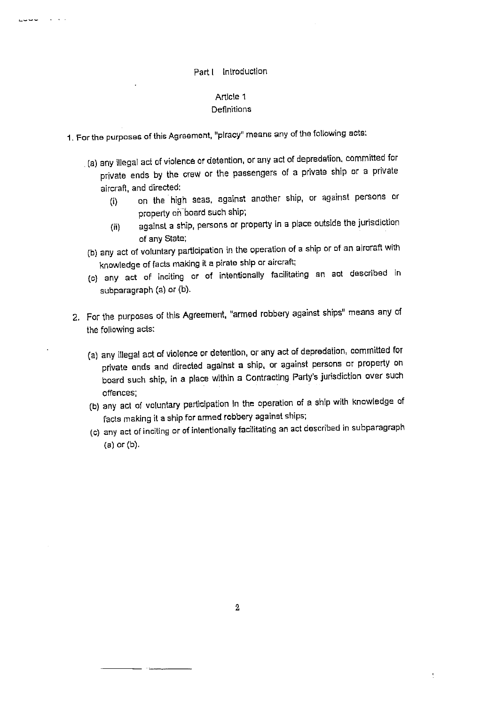#### Part I Introduction

#### Article 1 **Definitions**

1. For the purposes of this Agreement, "piracy" means any of the following acts:

ت ب ب پ

- . (a) any illegal act of violence or detention, or any act of depredation, committed for private ends by the crew or the passengers of a private ship or a private aircraft, and directed:
	- on the high seas, against another ship, or against persons or  $(i)$ property on board such ship;
	- against a ship, persons or property in a place outside the jurisdiction  $(ii)$ of any State;
- (b) any act of voluntary participation in the operation of a ship or of an airoraft with knowledge of facts making it a pirate ship or aircraft;
- (c) any act of inciting or of intentionally facilitating an act described in subparagraph (a) or (b).
- 2. For the purposes of this Agreement, "armed robbery against ships" means any of the following acts:
	- (a) any illegal act of violence or detention, or any act of depredation, committed for private ends and directed against a ship, or against persons or property on board such ship, in a place within a Contracting Party's jurisdiction over such offences;
	- (b) any act of voluntary participation In the operation of a ship with knowledge of facts making it a ship for armed robbery against ships;
	- (c) any act of inciting or of intentionally facilitating an act described in subparagraph (a) or (b).

 $\mathop{\mathbb{I}}\nolimits$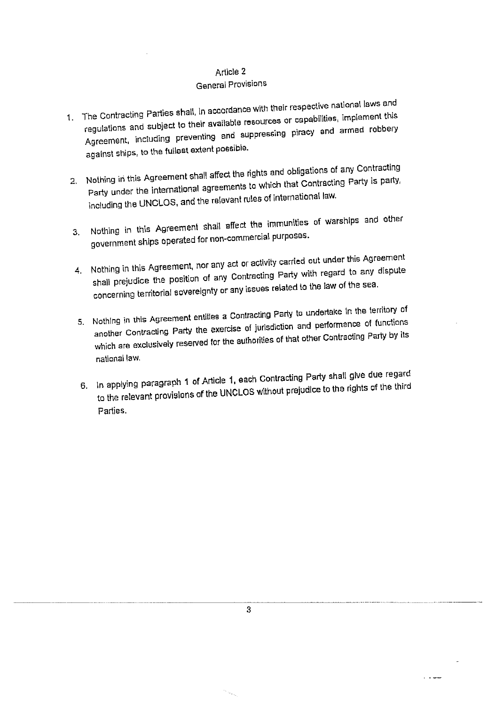### General Provisions

- 1. The Contracting Parties shall, In accordance with their respective national laws and regulations and subject to their available resources or capabilities, implement this Agreement, including preventing and suppressing piracy and armed robbery against ships, to the fullest extent possible.
- 2. Nothing in this Agreement shall affect the rights and obligations of any Contracting Party under the international agreements to which that Contracting Party is party, including the UNCLOS, and the relevant rules of international law.
- 3. Nothing in this Agreement shall affect the immunities of warships and other government ships operated for non-commercial purposes.
- 4. Nothing in this Agreement, nor any act or activity carried out under this Agreement shall prejudice the position of any Contracting Party with regard to any dispute concerning territorial sovereignty or any issues related to the law of the sea.
- 5. Nothing in this Agreement entities a Contracting Party to undertake in the territory of another Contracting Party the exercise of jurisdiction and performance of functions which are exclusively reserved for the authorities of that other Contracting Party by its national law.
- 6. In applying paragraph 1 of Article 1, each Contracting Party shall give due regard to the relevant provisions of the UNCLOS without prejudice to the rights of the third Parties.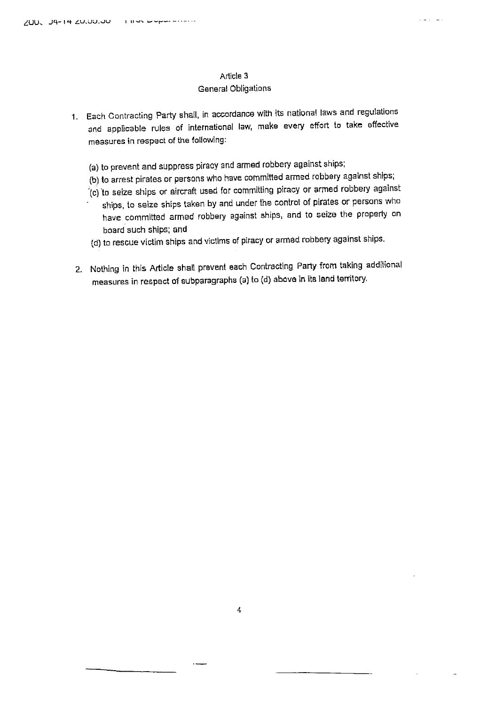### **General Obligations**

- 1. Each Contracting Party shall, in accordance with its national laws and regulations and applicable rules of international law, make every effort to take effective measures in respect of the following:
	- (a) to prevent and suppress piracy and armed robbery against ships;
	- (b) to arrest pirates or persons who have committed armed robbery against ships;
	- (c) to seize ships or aircraft used for committing piracy or armed robbery against
	- ships, to seize ships taken by and under the control of pirates or persons who have committed armed robbery against ships, and to seize the property on board such ships; and
	- (d) to rescue victim ships and victims of piracy or armed robbery against ships.
- 2. Nothing in this Article shall prevent each Contracting Party from taking additional measures in respect of subparagraphs (a) to (d) above in its land territory.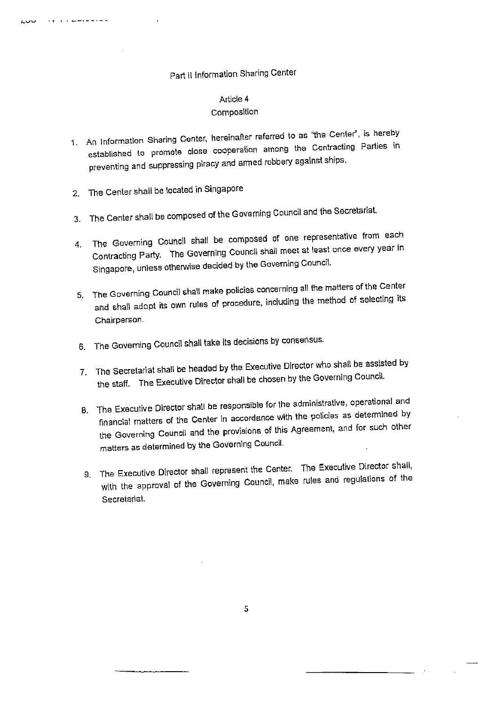# Part II Information Sharing Center

#### Article 4 Composition

- 1. An Information Sharing Center, hereinafter referred to as "the Center", is hereby established to promote close cooperation among the Contracting Parties in preventing and suppressing piracy and armed robbery against ships.
- 2. The Center shall be located in Singapore

a política de de de de de de

بالبار

- 3. The Center shall be composed of the Governing Council and the Secretariat.
- The Governing Council shall be composed of one representative from each 4. Contracting Party. The Governing Council shall meet at least once every year in Singapore, unless otherwise decided by the Governing Council.
- 5. The Governing Council shall make policies concerning all the matters of the Center and shall adopt its own rules of procedure, including the method of selecting its Chairperson.
- 6. The Governing Council shall take its decisions by consensus.
- 7. The Secretariat shall be headed by the Executive Director who shall be assisted by the staff. The Executive Director shall be chosen by the Governing Council.
- 8. The Executive Director shall be responsible for the administrative, operational and financial matters of the Center in accordance with the policies as determined by the Governing Council and the provisions of this Agreement, and for such other matters as determined by the Governing Council.
- 9. The Executive Director shall represent the Center. The Executive Director shall, with the approval of the Governing Council, make rules and regulations of the Secretariat.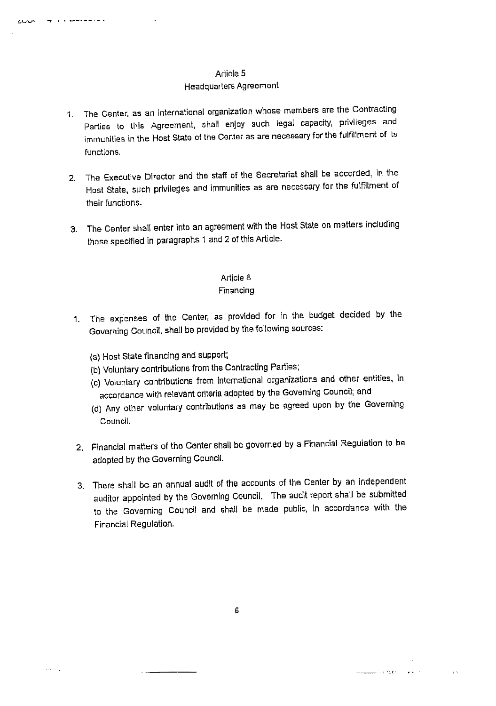### Headquarters Agreement

- 1. The Center, as an international organization whose members are the Contracting Parties to this Agreement, shall enjoy such legal capacity, privileges and immunities in the Host State of the Center as are necessary for the fulfillment of Its functions.
- 2. The Executive Director and the staff of the Secretariat shall be accorded, in the Host State, such privileges and immunities as are necessary for the fulfillment of their functions.
- 3. The Center shall enter into an agreement with the Host State on matters including those specified in paragraphs 1 and 2 of this Article.

### Article B

### Financing

- 1. The expenses of the Center, as provided for in the budget decided by the Governing Council, shall be provided by the following sources:
	- (a) Host State financing and support;

mark and determined the contract of

 $\alpha$  .  $\beta$  ,  $\gamma$ 

cuus

- (b) Voluntary contributions from the Contracting Parties;
- (c) Voluntary contributions from international organizations and other entities, in accordance with relevant criteria adopted by the Governing Council; and
- (d) Any other voluntary contributions as may be agreed upon by the Governing Council.
- 2. Financial matters of the Center shall be governed by a Financial Regulation to be adopted by the Governing Council.
- 3. There shall be an annual audit of the accounts of the Center by an independent auditor appointed by the Governing Council. The audit report shall be submitted to the Governing Council and shall be made public, in accordance with the Financial Regulation.

**Committee Contracts** of the Committee Contracts of the Committee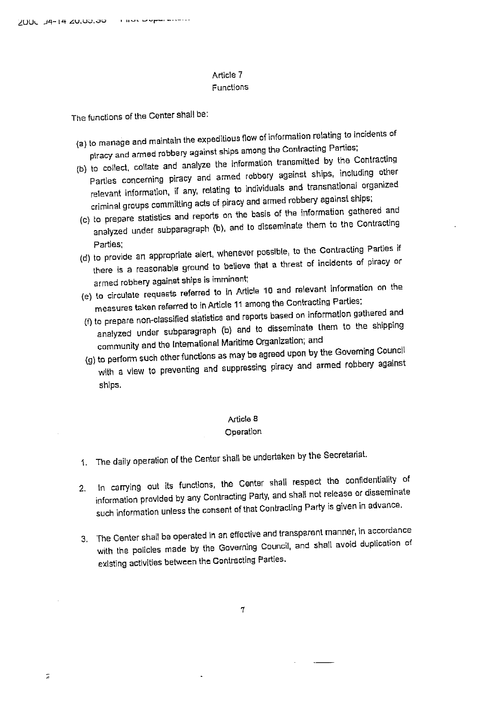ā

#### Article 7 Functions

The functions of the Center shall be:

- (a) to manage and maintain the expeditious flow of information relating to incidents of piracy and armed robbery against ships among the Contracting Parties;
- (b) to collect, collate and analyze the information transmitted by the Contracting Parties concerning piracy and armed robbery against ships, including other relevant information, if any, relating to individuals and transnational organized criminal groups committing acts of piracy and armed robbery against ships;
- (c) to prepare statistics and reports on the basis of the information gathered and analyzed under subparagraph (b), and to disseminate them to the Contracting Parties:
- (d) to provide an appropriate alert, whenever possible, to the Contracting Parties if there is a reasonable ground to believe that a threat of incidents of piracy or armed robbery against ships is imminent;
- (e) to circulate requests referred to in Article 10 and relevant information on the measures taken referred to in Article 11 among the Contracting Parties;
- (f) to prepare non-classified statistics and reports based on information gathered and analyzed under subparagraph (b) and to disseminate them to the shipping
- community and the International Maritime Organization; and (g) to perform such other functions as may be agreed upon by the Governing Council with a view to preventing and suppressing piracy and armed robbery against ships.

#### **Article B**

#### Operation

- 1. The daily operation of the Center shall be undertaken by the Secretariat.
- In carrying out its functions, the Center shall respect the confidentiality of  $2.$ information provided by any Contracting Party, and shall not release or disseminate such information unless the consent of that Contracting Party is given in advance.
- 3. The Genter shall be operated in an effective and transparent manner, in accordance with the policles made by the Governing Council, and shall avoid duplication of existing activities between the Contracting Parties.

 $\tau$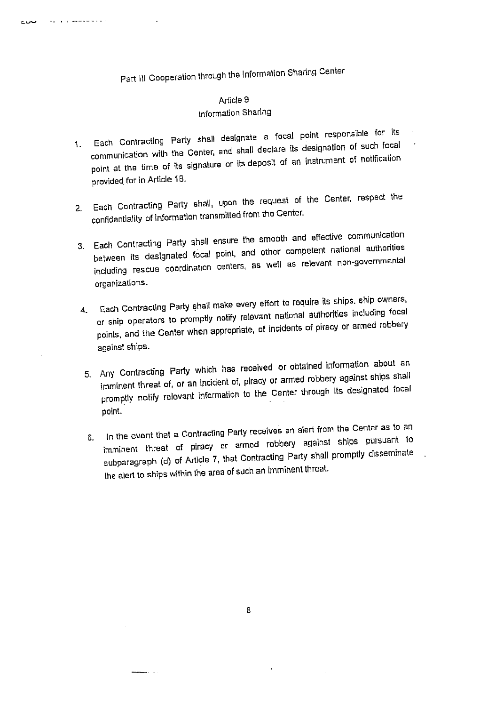Part III Cooperation through the Information Sharing Center

والمتمسوسين والروم

بان ا

# Article 9

### Information Sharing

- 1. Each Contracting Party shall designate a focal point responsible for its communication with the Center, and shall declare its designation of such focal point at the time of its signature or its deposit of an instrument of notification provided for in Article 18.
- 2. Each Contracting Party shall, upon the request of the Center, respect the confidentiality of information transmitted from the Center.
- 3. Each Contracting Party shall ensure the smooth and effective communication between its designated focal point, and other competent national authorities including rescue coordination centers, as well as relevant non-governmental organizations.
- 4. Each Contracting Party shall make every effort to require its ships, ship owners, or ship operators to promptly notify relevant national authorities including focal points, and the Center when appropriate, of incidents of piracy or armed robbery against ships.
- 5. Any Contracting Party which has received or obtained information about an imminent threat of, or an incident of, piracy or armed robbery against ships shall promptly notify relevant information to the Center through Its designated focal point.
- 6. In the event that a Contracting Party receives an alert from the Center as to an imminent threat of piracy or armed robbery against ships pursuant to subparagraph (d) of Article 7, that Contracting Party shall promptly disseminate the alert to ships within the area of such an imminent threat.

- -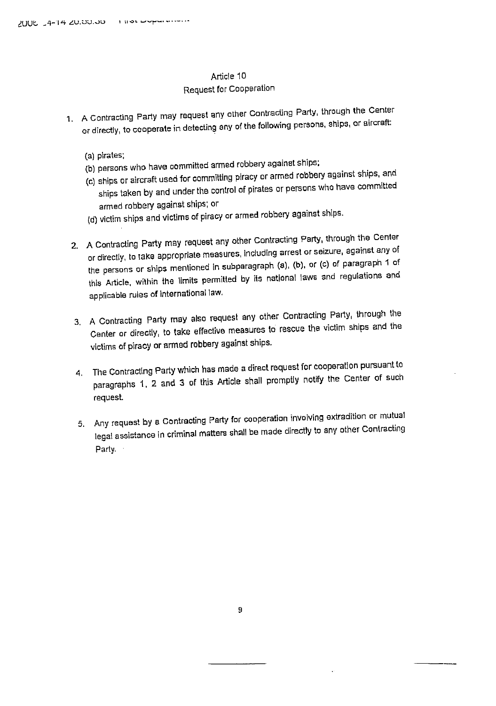### Request for Cooperation

- 1. A Contracting Party may request any other Contracting Party, through the Center or directly, to cooperate in detecting any of the following persons, ships, or aircraft:
	- (a) pirates;
	- (b) persons who have committed armed robbery against ships;
	- (c) ships or aircraft used for committing piracy or armed robbery against ships, and ships taken by and under the control of pirates or persons who have committed armed robbery against ships; or
	- (d) victim ships and victims of piracy or armed robbery against ships.
	- 2. A Contracting Party may request any other Contracting Party, through the Center or directly, to take appropriate measures, including arrest or seizure, against any of the persons or ships mentioned in subparagraph (a), (b), or (c) of paragraph 1 of this Article, within the limits permitted by its national laws and regulations and applicable rules of international law.
	- 3. A Contracting Party may also request any other Contracting Party, through the Center or directly, to take effective measures to rescue the victim ships and the victims of piracy or armed robbery against ships.
	- 4. The Contracting Party which has made a direct request for cooperation pursuant to paragraphs 1, 2 and 3 of this Article shall promptly notify the Center of such request.
	- 5. Any request by a Contracting Party for cooperation involving extradition or mutual legal assistance in criminal matters shall be made directly to any other Contracting Party.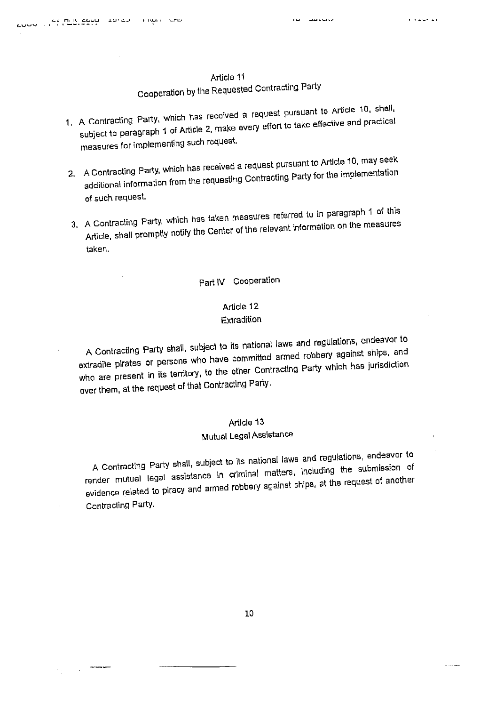the control

 $\overline{\imath}$ 

and a state company

#### Article 11

# Cooperation by the Requested Contracting Party

- 1. A Contracting Party, which has received a request pursuant to Article 10, shall, subject to paragraph 1 of Article 2, make every effort to take effective and practical measures for implementing such request.
- 2. A Contracting Party, which has received a request pursuant to Article 10, may seek additional information from the requesting Contracting Party for the implementation of such request.
- 3. A Contracting Party, which has taken measures referred to in paragraph 1 of this Article, shall promptly notify the Center of the relevant information on the measures taken.

### Part IV Cooperation

### Article 12 Extradition

A Contracting Party shall, subject to its national laws and regulations, endeavor to extradite pirates or persons who have committed armed robbery against ships, and who are present in its territory, to the other Contracting Party which has jurisdiction over them, at the request of that Contracting Party.

### Article 13

# Mutual Legal Assistance

A Contracting Party shall, subject to its national laws and regulations, endeavor to render mutual legal assistance in criminal matters, including the submission of evidence related to piracy and armed robbery against ships, at the request of another Contracting Party.

10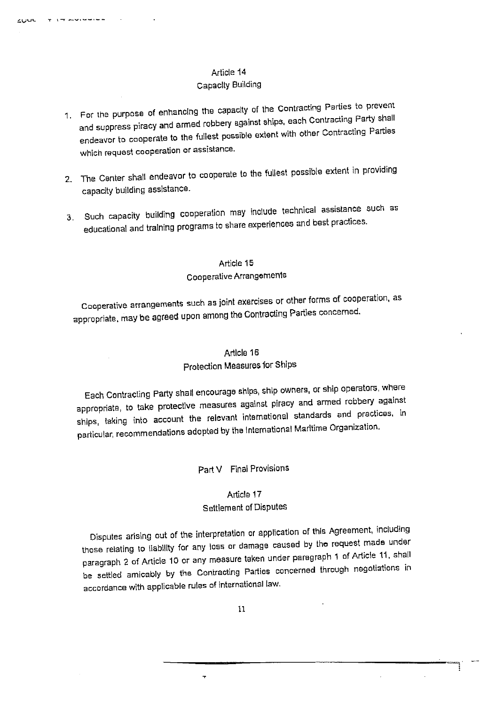**Figure** and construction of

cuu

#### Capacity Building

- 1. For the purpose of enhancing the capacity of the Contracting Parties to prevent and suppress piracy and armed robbery against ships, each Contracting Party shall endeavor to cooperate to the fullest possible extent with other Contracting Parties which request cooperation or assistance.
- 2. The Center shall endeavor to cooperate to the fullest possible extent in providing capacity building assistance.
- 3. Such capacity building cooperation may include technical assistance such as educational and training programs to share experiences and best practices.

### Article 15 Cooperative Arrangements

Cooperative arrangements such as joint exercises or other forms of cooperation, as appropriate, may be agreed upon among the Contracting Parties concerned.

# Article 16

### Protection Measures for Ships

Each Contracting Party shall encourage ships, ship owners, or ship operators, where appropriate, to take protective measures against piracy and armed robbery against ships, taking into account the relevant international standards and practices, in particular, recommendations adopted by the International Maritime Organization.

#### Part V Final Provisions

#### Article 17

## **Settlement of Disputes**

Disputes arising out of the interpretation or application of this Agreement, including those relating to liability for any loss or damage caused by the request made under paragraph 2 of Article 10 or any measure taken under paragraph 1 of Article 11, shall be settled amicably by the Contracting Parties concerned through negotiations in accordance with applicable rules of international law.

 $\overline{\mathbf{r}}$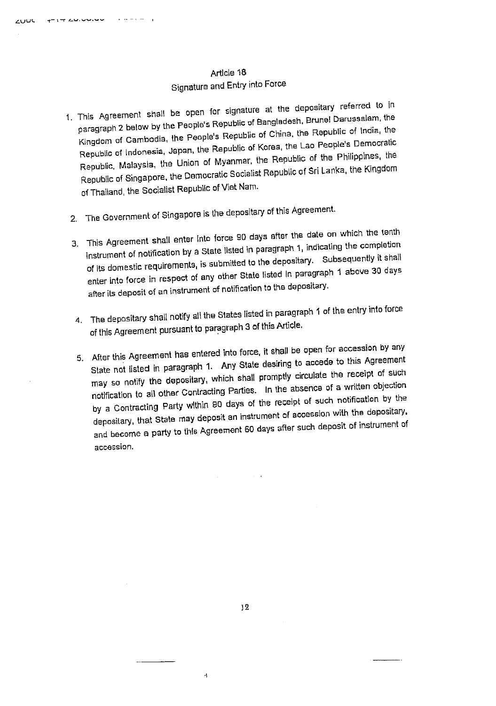# Article 18 Signature and Entry into Force

- 1. This Agreement shall be open for signature at the depositary referred to in paragraph 2 below by the People's Republic of Bangladesh, Brunel Darussalam, the Kingdom of Cambodia, the People's Republic of China, the Republic of India, the Republic of Indonesia, Japan, the Republic of Korea, the Lao People's Democratic Republic, Malaysia, the Union of Myanmar, the Republic of the Philippines, the Republic of Singapore, the Democratic Socialist Republic of Sri Lanka, the Kingdom of Thailand, the Socialist Republic of Viet Nam.
- 2. The Government of Singapore is the depositary of this Agreement.
- 3. This Agreement shall enter into force 90 days after the date on which the tenth instrument of notification by a State listed in paragraph 1, indicating the completion of its domestic requirements, is submitted to the depositary. Subsequently it shall enter into force in respect of any other State listed In paragraph 1 above 30 days after its deposit of an instrument of notification to the depositary.
- 4. The depositary shall notify all the States listed in paragraph 1 of the entry into force of this Agreement pursuant to paragraph 3 of this Article.
- 5. After this Agreement has entered into force, it shall be open for accession by any State not listed in paragraph 1. Any State desiring to accede to this Agreement may so notify the depositary, which shall promptly circulate the receipt of such notification to all other Contracting Parties. In the absence of a written objection by a Contracting Party within 80 days of the receipt of such notification by the depositary, that State may deposit an instrument of accession with the depositary, and become a party to this Agreement 60 days after such deposit of instrument of accession.

 $\bar{A}$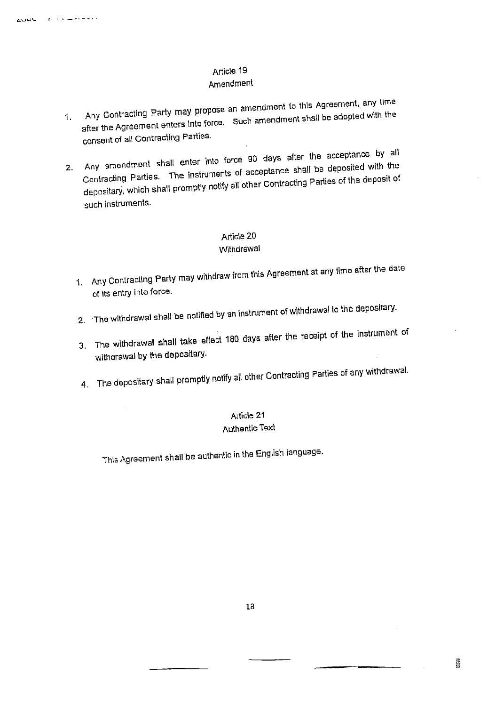# Amendment

- 1. Any Contracting Party may propose an amendment to this Agreement, any time after the Agreement enters into force. Such amendment shall be adopted with the consent of all Contracting Parties.
- 2. Any amendment shall enter into force 90 days after the acceptance by all Contracting Parties. The instruments of acceptance shall be deposited with the depositary, which shall promptly notify all other Contracting Parties of the deposit of such instruments.

### Article 20

#### Withdrawal

- 1. Any Contracting Party may withdraw from this Agreement at any fime after the date of its entry into force.
- 2. The withdrawal shall be notified by an instrument of withdrawal to the depositary.
- 3. The withdrawal shall take effect 180 days after the receipt of the instrument of withdrawal by the depositary.
- 4. The depositary shall promptly notify all other Contracting Parties of any withdrawal.

# Article 21

### Authentic Text

This Agreement shall be authentic in the English language.